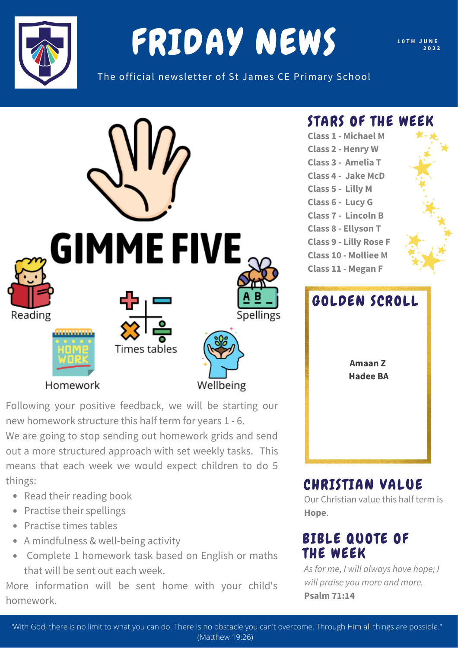

# FRIDAY NEWS

**1 0 T H J U N E 2 0 2 2**

The official newsletter of St James CE Primary School



Following your positive feedback, we will be starting our new homework structure this half term for years 1 - 6.

We are going to stop sending out homework grids and send out a more structured approach with set weekly tasks. This means that each week we would expect children to do 5 things:

- Read their reading book
- Practise their spellings
- Practise times tables
- A mindfulness & well-being activity
- Complete 1 homework task based on English or maths that will be sent out each week.

More information will be sent home with your child's homework.

#### STARS OF THE WEEK

**Class 1 - Michael M Class 2 - Henry W Class 3 - Amelia T Class 4 - Jake McD Class 5 - Lilly M Class 6 - Lucy G Class 7 - Lincoln B Class 8 - Ellyson T Class 9 - Lilly Rose F Class 10 - Molliee M Class 11 - Megan F**



#### CHRISTIAN VALUE

Our Christian value this half term is **Hope**.

#### BIBLE QUOTE OF THE WEEK

*As for me, I will always have hope; I will praise you more and more.* **Psalm 71:14**